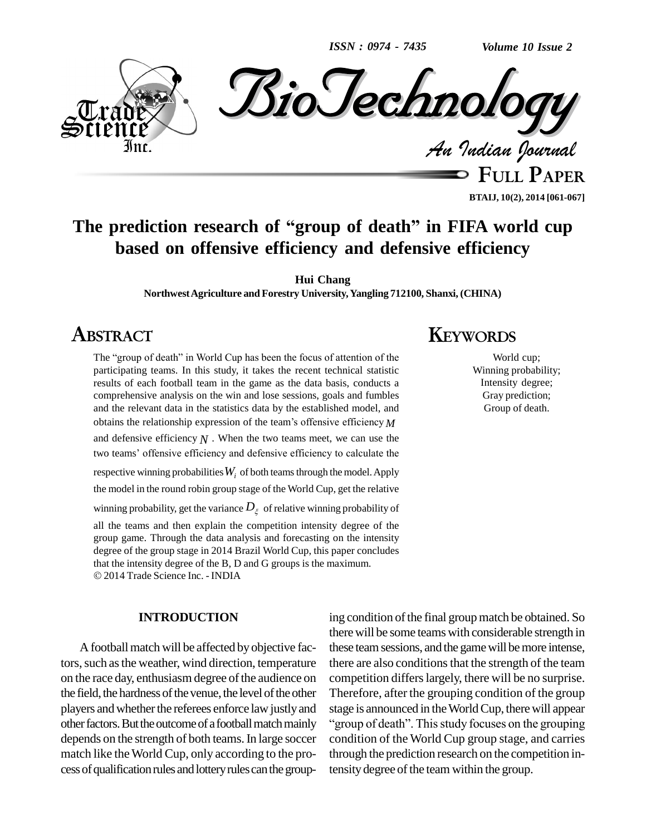*ISSN : 0974 - 7435*

*Volume 10 Issue 2*



**FULL PAPER BTAIJ, 10(2), 2014 [061-067]**

# **The prediction research of <sup>ì</sup>group of death<sup>î</sup> in FIFA world cup based on offensive efficiency and defensive efficiency**

**Hui Chang**

**NorthwestAgriculture and Forestry University,Yangling 712100, Shanxi, (CHINA)**

## **ABSTRACT**

The "group of death" in World Cup has been the focus of attention of the participating teams. In this study, it takes the recent technical statistic results of each football team in the game as the data basis, conducts a comprehensive analysis on the win and lose sessions, goals and fumbles and the relevant data in the statistics data by the established model, and obtains the relationship expression of the team's offensive efficiency  $M$ and defensive efficiency *N* . When the two teams meet, we can use the the team is offensive efficiency  $N$ . When the two teams meet, we can use the two teams' offensive efficiency and defensive efficiency to calculate the respective winning probabilities  $W_i$  of both teams through the model. Apply the model in the round robin group stage of the World Cup, get the relative winning probability, get the variance  $D_{\xi}$  of relative winning probability of all the teams and then explain the competition intensity degree of the group game. Through the data analysis and forecasting on the intensity degree of the group stage in 2014 Brazil World Cup, this paper concludes that the intensity degree of the B, <sup>D</sup> andG groups is the maximum. 2014 Trade Science Inc. - INDIA

#### **INTRODUCTION**

A football match will be affected by objective factors, such as the weather, wind direction, temperature on the race day, enthusiasm degree of the audience on the field, the hardness of the venue, the level of the other players and whether the referees enforce law justly and other factors. But the outcome of a football match mainly "group of death". This study focuses on the grouping depends on the strength of both teams.In large soccer match like theWorld Cup, only according to the pro cessofqualificationrules andlotteryrulescanthegroup-

## **KEYWORDS**

World cup; Winning probability; Intensity degree; Gray prediction; Group of death.

ing condition of the final group match be obtained. So there will be some teams with considerable strength in these teamsessions, and the gamewill bemore intense, there are also conditions that the strength of the team competition differslargely, there will be no surprise. Therefore, after the grouping condition of the group Therefore, after the grouping condition of the group<br>stage is announced in the World Cup, there will appear<br>"group of death". This study focuses on the grouping condition of the World Cup group stage, and carries through the prediction research on the competition intensity degree of the team within the group.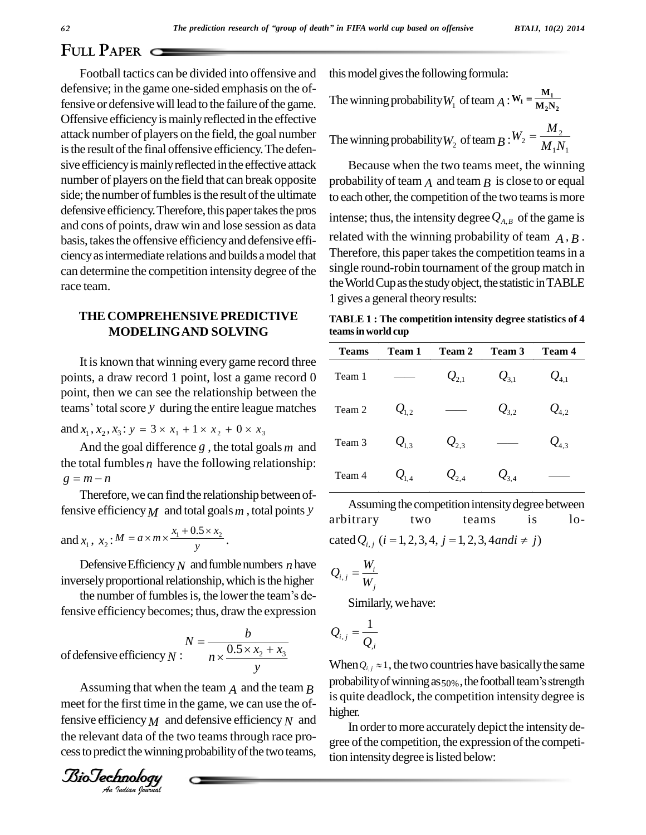## **FULL PAPER**

Football tactics can be divided into offensive and defensive; in the game one-sided emphasis on the offensive or defensive will lead to the failure of the game. Offensive efficiencyismainlyreflected in the effective attack number of players on the field, the goal number is the result of the final offensive efficiency. The defensive efficiency is mainly reflected in the effective attack number of players on the field that can break opposite side; the number of fumbles is the result of the ultimate defensive efficiency. Therefore, this paper takes the pros and cons of points, draw win and lose session as data basis, takes the offensive efficiency and defensive efficiencyasintermediate relations and builds amodel that can determine the competition intensity degree of the race team.

## **THE COMPREHENSIVEPREDICTIVE MODELINGAND SOLVING**

It is known that winning every game record three points, a draw record 1 point, lost a game record 0 point, then we can see the relationship between the points, a draw record 1 point, lost a game record 0 Team<br>point, then we can see the relationship between the<br>teams' total score *y* during the entire league matches Team teams' total score y during the entire league matches

and  $x_1$ ,  $x_2$ ,  $x_3$ :  $y = 3 \times x_1 + 1 \times x_2 + 0 \times x_3$ 

And the goal difference *g* , the total goals *m* and the total fumbles  $n$  have the following relationship: And the goal dif<br>the total fumbles *n* 1<br> $g = m - n$ 

Therefore, we can find the relationship between offensive efficiency *M* and total goals *m*, total points *y*<br>
and  $x_1$ ,  $x_2$ :  $M = a \times m \times \frac{x_1 + 0.5 \times x_2}{y_1}$ .

and 
$$
x_1
$$
,  $x_2$ :  $M = a \times m \times \frac{x_1 + 0.5 \times x_2}{y}$ .

Defensive Efficiency  $N$  and fumble numbers  $n$  have inversely proportional relationship, which is the higher  $\frac{1}{2}$ . Defensive Efficiency  $N$  and fumble numbers  $n$  have<br>rsely proportional relationship, which is the higher<br>the number of fumbles is, the lower the team's de-

fensive efficiency becomes; thus, draw the expression  
\n
$$
N = \frac{b}{n \times \frac{0.5 \times x_2 + x_3}{y}}
$$
\n $Q_{i,j}$  =  
\nof defensive efficiency N:

meet for the first time in the game, we can use the of-<br>
fensive efficiency  $M$  and defensive efficiency  $N$  and<br>
the relevant data of the two teams through race pro-<br>
cess to predict the winning probability of the two te fensive efficiency*M* and defensive efficiency*N* and the relevant data of the two teams through race pro cess to predict the winning probability of the two teams,

this model gives the following formula:

this model gives the following formula:  
The winning probability 
$$
W_1
$$
 of team  $A : W_1 = \frac{M_1}{M_2 N_2}$ 

The winning probability 
$$
W_1
$$
 of team  $A: W_1 = \frac{M_2 N_2}{M_1 N_2}$   
The winning probability  $W_2$  of team  $B: W_2 = \frac{M_2}{M_1 N_1}$ 

Because when the two teams meet, the winning probability of team  $\overline{A}$  and team  $\overline{B}$  is close to or equal to each other, the competition of the two teams is more intense; thus, the intensity degree  $Q_{A,B}$  of the game is related with the winning probability of team  $\overline{A}$ ,  $\overline{B}$ . Therefore, this paper takes the competition teams in a single round-robin tournament of the group match in the World Cup as the study object, the statistic in TABLE 1 gives a general theory results:

**TABLE 1 : The competition intensity degree statistics of 4 teamsinworld cup**

| <b>Teams</b> | Team 1                                    | Team 2                                 | Team 3              | <b>Team 4</b>                          |
|--------------|-------------------------------------------|----------------------------------------|---------------------|----------------------------------------|
| Team 1       |                                           | $\mathcal{Q}_{\scriptscriptstyle 2,1}$ | $\mathcal{Q}_{3,1}$ | $\mathcal{Q}_{\scriptscriptstyle 4,1}$ |
| Team 2       | $Q_{1,2}$                                 |                                        | $Q_{3.2}$           | $Q_{4,2}$                              |
| Team 3       | $\mathcal{Q}_{\scriptscriptstyle\rm l,3}$ | $Q_{2,3}$                              |                     | $\mathcal{Q}_{4,3}$                    |
| Team 4       | $Q_{1,4}$                                 | $\mathcal{Q}_{2,4}$                    | $\mathcal{Q}_{3,4}$ |                                        |

Assuming the competition intensity degree between arbitrary two teams is lo- Assuming the competition intensity degree betwee<br>arbitrary two teams is Ic<br>cated  $Q_{i,j}$  (*i* = 1, 2, 3, 4, *j* = 1, 2, 3, 4 *andi*  $\neq j$ )

cated 
$$
Q_{i,j}
$$
 (*i* = 1, 2, 3, 4, *j* :  
\n
$$
Q_{i,j} = \frac{W_i}{W_j}
$$

Similarly, we have:<br> $\sum_{i,j=0}$ 

$$
\mathcal{Q}_{i,\,j} = \frac{1}{\mathcal{Q}_{,i}}
$$

Assuming that when the team *A* and the team *B* probability of winning as  $50\%$ , the football team's strength  $\mathcal{L}_{i,j}$   $Q_{i,j}$ <br>When  $Q_{i,j} \approx 1$ , the two countries have basically the same<br>probability of winning as  $50\%$ , the football team's strength is quite deadlock, the competition intensity degree is higher.

> In order to more accurately depict the intensity degree of the competition, the expression of the competition intensity degree is listed below: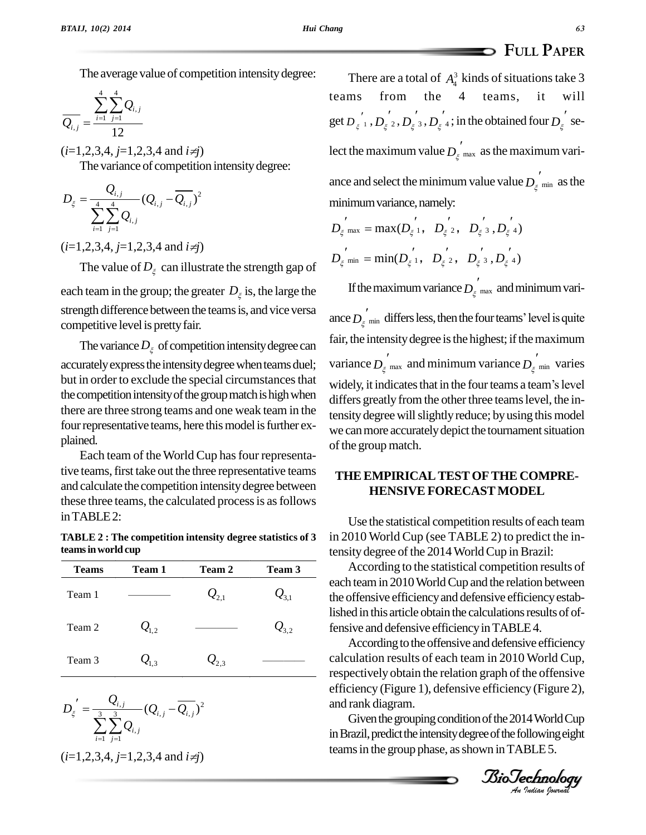The average value of competition intensity degree:

$$
\overline{Q_{i,j}} = \frac{\sum_{i=1}^{4} \sum_{j=1}^{4} Q_{i,j}}{12}
$$

Ξ

 $(i=1,2,3,4, j=1,2,3,4$  and  $i\neq j$ 

The variance of competition intensitydegree:

$$
D_{\xi} = \frac{Q_{i,j}}{\sum_{i=1}^{4} \sum_{j=1}^{4} Q_{i,j}} (Q_{i,j} - \overline{Q_{i,j}})^2
$$

 $(i=1,2,3,4, j=1,2,3,4$  and  $i\neq j$ 

The value of  $D_{\varepsilon}$  can illustrate the strength gap of

each team in the group; the greater  $D_{\xi}$  is, the large the strength difference between the teams is, and vice versa competitive level is pretty fair.

The variance  $D_{\xi}$  of competition intensity degree can accurately express the intensity degree when teams duel; but in order to exclude the special circumstances that widely, it indicates that in the four teams a team's level the competition intensity of the group match is high when there are three strong teams and one weak team in the four representative teams, here this model is further explained.

Each team of the World Cup has four representative teams, first take out the three representative teams and calculate the competition intensitydegree between these three teams, the calculated processis asfollows inTABLE2:

**TABLE 2 : The competition intensity degree statistics of 3 teamsinworld cup**

| Accord                                 | Team 3              | <b>Team 2</b>       | Team 1                                 | <b>Teams</b> |
|----------------------------------------|---------------------|---------------------|----------------------------------------|--------------|
| each team i<br>the offensiv            | $\mathcal{Q}_{3,1}$ | $\mathcal{Q}_{2.1}$ |                                        | Team 1       |
| lished in thi<br>fensive and<br>Accord | $Q_{3,2}$           |                     | $Q_{1,2}$                              | Team 2       |
| calculation<br>respectivel             |                     | $\mathcal{Q}_{2,3}$ | $\mathcal{Q}_{\scriptscriptstyle 1.3}$ | Team 3       |
| $\alpha$ fficiancy                     |                     |                     |                                        |              |

respectively obtain the  
\n
$$
D_{\xi} = \frac{Q_{i,j}}{\sum_{i=1}^{3} \sum_{j=1}^{3} Q_{i,j}} (Q_{i,j} - \overline{Q_{i,j}})^2
$$
\n
$$
(i=1,2,3,4, j=1,2,3,4 \text{ and } i \neq j)
$$
\n
$$
= \frac{Q_{i,j}}{\sum_{i=1}^{3} \sum_{j=1}^{3} Q_{i,j}} (Q_{i,j} - \overline{Q_{i,j}})^2
$$
\n
$$
= \frac{Q_{i,j}}{\sum_{i=1}^{3} \sum_{j=1}^{3} Q_{i,j}} (Q_{i,j} - \overline{Q_{i,j}})^2
$$
\n
$$
= \frac{Q_{i,j}}{\sum_{i=1}^{3} \sum_{j=1}^{3} Q_{i,j}} (Q_{i,j} - \overline{Q_{i,j}})^2
$$
\n
$$
= \frac{Q_{i,j}}{\sum_{i=1}^{3} \sum_{j=1}^{3} Q_{i,j}} (Q_{i,j} - \overline{Q_{i,j}})^2
$$
\n
$$
= \frac{Q_{i,j}}{\sum_{i=1}^{3} \sum_{j=1}^{3} Q_{i,j}} (Q_{i,j} - \overline{Q_{i,j}})^2
$$
\n
$$
= \frac{Q_{i,j}}{\sum_{i=1}^{3} \sum_{j=1}^{3} Q_{i,j}} (Q_{i,j} - \overline{Q_{i,j}})^2
$$
\nGiven the grouping to the group in the group phase

 $Q_{i,j} = \frac{\sum_{i=1}^{4} \sum_{j=1}^{4} Q_{i,j}}{12}$  *i get*  $D_{\xi}^{'}$ ,  $D_{\xi}^{'}$ ,  $D_{\xi}^{'}$ ,  $D_{\xi}^{'}$ ,  $D_{\xi}^{'}$ ,  $i$ , in the obtained four  $D_{\xi}^{'}$  se- $D_{\xi} = \frac{Z_{i,j}}{4\pi} (Q_{i,j} - Q_{i,j})^2$  minimum variance, namely: e of competition intensity degree:<br>
ance and select the minimu<br>  $-(Q_{\text{max}} - \overline{Q_{\text{max}}})^2$ There are a total of  $A_4^3$  kinds of situations take 3 from the 4 teams, it will teams lect the maximum value  $D_{\xi}^{'}$  max as the maximum variance and select the minimum value value  $D_{\xi \text{min}}$  as the minimum variance, namely:

$$
D_{\xi}^{''}_{max} = max(D_{\xi}^{'}, D_{\xi}^{'}, D_{\xi}^{'}, D_{\xi}^{'}, D_{\xi}^{'})
$$
  

$$
D_{\xi}^{''}_{min} = min(D_{\xi}^{'}, D_{\xi}^{'}, D_{\xi}^{'}, D_{\xi}^{'}, D_{\xi}^{'})
$$

If the maximum variance  $D_{\xi}^{'}$   $_{\text{max}}$  and minimum vari-

If the maximum variance  $D_{\xi}$  max and minimum variance  $D_{\xi}$  min differs less, then the four teams' level is quite fair, the intensity degree is the highest; if the maximum variance  $D_{\xi}$  max and minimum variance  $D_{\xi}$  min varies variance  $D_{\xi}^{'}$  <sub>max</sub> and minimum variance  $D_{\xi}^{'}$  <sub>min</sub> varies<br>widely, it indicates that in the four teams a team's level differs greatly from the other three teams level, the intensity degree will slightly reduce; by using this model we can more accurately depict the tournament situation of the group match.

### **THEEMPIRICALTESTOFTHE COMPRE- HENSIVE FORECAST MODEL**

Use the statistical competition results of each team in 2010 World Cup (see TABLE 2) to predict the intensity degree of the 2014 World Cup in Brazil:

According to the statistical competition results of each teamin 2010WorldCup and the relation between the offensive efficiencyand defensive efficiencyestablished in this article obtain the calculations results of offensive and defensive efficiencyinTABLE4.

 $\text{calculation results of each team in } 2010 \text{ World Cup},$ According to the offensive and defensive efficiency respectively obtain the relation graph of the offensive efficiency (Figure 1), defensive efficiency (Figure 2), respectively obtain the<br>efficiency (Figure 1), d<br>and rank diagram.

Given the grouping condition of the 2014 World Cup in Brazil, predict the intensity degree of the following eight teams in the group phase, as shown in TABLE 5.

*Indian Journal*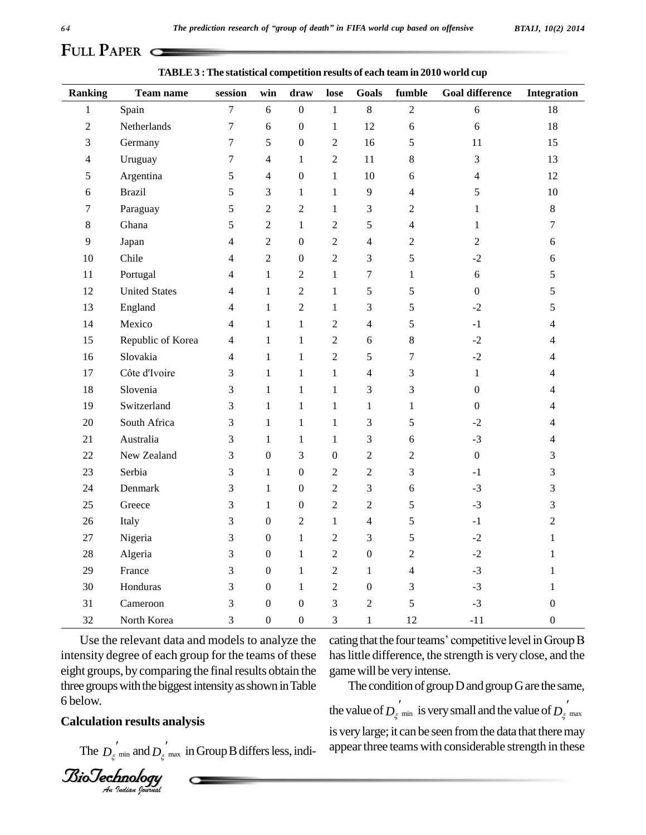# **FULL PAPER**

| <b>Ranking</b> | Team name            | session          | win              | draw             | lose                        | <b>Goals</b>     | fumble           | <b>Goal difference</b>   | <b>Integration</b> |
|----------------|----------------------|------------------|------------------|------------------|-----------------------------|------------------|------------------|--------------------------|--------------------|
| $\,1$          | Spain                | $\boldsymbol{7}$ | 6                | $\boldsymbol{0}$ | $\,1\,$                     | $8\,$            | $\sqrt{2}$       | $6\,$                    | 18                 |
| $\overline{c}$ | Netherlands          | $\boldsymbol{7}$ | 6                | $\boldsymbol{0}$ | $\mathbf{1}$                | 12               | $\boldsymbol{6}$ | $\epsilon$               | 18                 |
| 3              | Germany              | $\boldsymbol{7}$ | 5                | $\boldsymbol{0}$ | $\boldsymbol{2}$            | 16               | $\mathfrak s$    | 11                       | 15                 |
| 4              | Uruguay              | 7                | $\overline{4}$   | 1                | $\sqrt{2}$                  | 11               | $\,$ 8 $\,$      | 3                        | 13                 |
| 5              | Argentina            | 5                | $\overline{4}$   | $\boldsymbol{0}$ | $\mathbf{1}$                | 10               | 6                | $\overline{\mathcal{L}}$ | 12                 |
| 6              | <b>Brazil</b>        | 5                | 3                | $\mathbf{1}$     | $\mathbf{1}$                | 9                | 4                | 5                        | 10                 |
| 7              | Paraguay             | 5                | $\overline{2}$   | $\mathbf{2}$     | $\mathbf{1}$                | 3                | $\overline{c}$   | $\mathbf{1}$             | $\,8\,$            |
| 8              | Ghana                | 5                | $\overline{c}$   | $\mathbf{1}$     | $\sqrt{2}$                  | 5                | $\overline{4}$   | $\mathbf{1}$             | 7                  |
| 9              | Japan                | 4                | $\overline{2}$   | $\boldsymbol{0}$ | $\sqrt{2}$                  | $\overline{4}$   | $\mathfrak{2}$   | $\overline{c}$           | 6                  |
| 10             | Chile                | 4                | $\overline{2}$   | $\boldsymbol{0}$ | $\sqrt{2}$                  | $\mathfrak{Z}$   | 5                | $-2$                     | 6                  |
| 11             | Portugal             | 4                | $\mathbf{1}$     | $\boldsymbol{2}$ | $\mathbf{1}$                | $\tau$           | $\mathbf{1}$     | $\sqrt{6}$               | 5                  |
| 12             | <b>United States</b> | 4                | $\mathbf{1}$     | $\sqrt{2}$       | $\mathbf 1$                 | $\sqrt{5}$       | 5                | $\boldsymbol{0}$         | 5                  |
| 13             | England              | 4                | $\mathbf{1}$     | $\sqrt{2}$       | $\mathbf{1}$                | $\mathfrak{Z}$   | 5                | $-2$                     | 5                  |
| 14             | Mexico               | 4                | $\mathbf{1}$     | $\mathbf{1}$     | $\sqrt{2}$                  | $\overline{4}$   | 5                | $-1$                     | 4                  |
| 15             | Republic of Korea    | 4                | $\mathbf{1}$     | $\mathbf{1}$     | $\sqrt{2}$                  | 6                | 8                | $-2$                     | 4                  |
| 16             | Slovakia             | 4                | $\mathbf{1}$     | $\mathbf{1}$     | $\sqrt{2}$                  | 5                | 7                | $-2$                     | 4                  |
| 17             | Côte d'Ivoire        | 3                | $\mathbf{1}$     | $\mathbf{1}$     | $\mathbf 1$                 | $\overline{4}$   | 3                | $\mathbf{1}$             | 4                  |
| 18             | Slovenia             | 3                | $\mathbf{1}$     | $\,1\,$          | $\mathbf{1}$                | 3                | 3                | $\boldsymbol{0}$         | 4                  |
| 19             | Switzerland          | 3                | $\mathbf{1}$     | $\mathbf{1}$     | $\mathbf{1}$                | $\mathbf{1}$     | $\mathbf{1}$     | $\boldsymbol{0}$         | 4                  |
| 20             | South Africa         | 3                | $\mathbf{1}$     | $\mathbf{1}$     | $\mathbf{1}$                | $\mathfrak{Z}$   | 5                | $-2$                     | 4                  |
| 21             | Australia            | 3                | $\mathbf{1}$     | $\mathbf{1}$     | $\mathbf{1}$                | $\mathfrak{Z}$   | 6                | $-3$                     | 4                  |
| 22             | New Zealand          | 3                | $\boldsymbol{0}$ | 3                | $\boldsymbol{0}$            | $\sqrt{2}$       | $\mathfrak{2}$   | $\mathbf 0$              | 3                  |
| 23             | Serbia               | 3                | $\mathbf{1}$     | $\boldsymbol{0}$ | $\overline{2}$              | $\sqrt{2}$       | 3                | $-1$                     | 3                  |
| 24             | Denmark              | 3                | $\mathbf{1}$     | $\boldsymbol{0}$ | $\sqrt{2}$                  | 3                | 6                | $-3$                     | 3                  |
| 25             | Greece               | 3                | $\mathbf{1}$     | $\boldsymbol{0}$ | $\sqrt{2}$                  | $\mathfrak{2}$   | $\mathfrak s$    | $-3$                     | 3                  |
| 26             | Italy                | 3                | $\boldsymbol{0}$ | $\sqrt{2}$       | $\mathbf{1}$                | $\overline{4}$   | 5                | $-1$                     | $\overline{c}$     |
| 27             | Nigeria              | 3                | $\boldsymbol{0}$ | $\mathbf{1}$     | $\sqrt{2}$                  | 3                | 5                | $-2$                     | 1                  |
| 28             | Algeria              | 3                | $\boldsymbol{0}$ | $\mathbf{1}$     | $\sqrt{2}$                  | $\boldsymbol{0}$ | $\mathfrak{2}$   | $-2$                     | 1                  |
| 29             | France               | 3                | $\boldsymbol{0}$ | $\mathbf{1}$     | $\sqrt{2}$                  | $\mathbf{1}$     | $\overline{4}$   | $-3$                     | 1                  |
| 30             | Honduras             | 3                | $\boldsymbol{0}$ | $\mathbf{1}$     | $\sqrt{2}$                  | $\boldsymbol{0}$ | 3                | $-3$                     | 1                  |
| 31             | Cameroon             | 3                | $\boldsymbol{0}$ | $\boldsymbol{0}$ | $\ensuremath{\mathfrak{Z}}$ | $\overline{2}$   | 5                | $-3$                     | $\boldsymbol{0}$   |
| 32             | North Korea          | 3                | $\boldsymbol{0}$ | $\boldsymbol{0}$ | $\mathfrak{Z}$              | $\mathbf{1}$     | 12               | $-11$                    | $\boldsymbol{0}$   |

**TABLE3 :The statistical competition results of each team in 2010 world cup**

intensity degree of each group for the teams of these has lit Use the relevant data and models to analyze the eight groups, by comparing the final results obtain the three groups with the biggest intensity as shown in Table below.

## **Calculation results analysis**

The  $D_{\xi\ \textrm{min}}$  and  $D_{\xi\ \textrm{max}}$  in Group B differs less, indi-

*Indian Journal*

cating that the four teams' competitive level in Group B has little difference, the strength is very close, and the game will be very intense.

The condition of group D and group G are the same, the value of  $D_{\xi_{\text{min}}}$  is very small and the value of  $D_{\xi_{\text{max}}}$ is very large; it can be seen from the data that there may appear three teams with considerable strength in these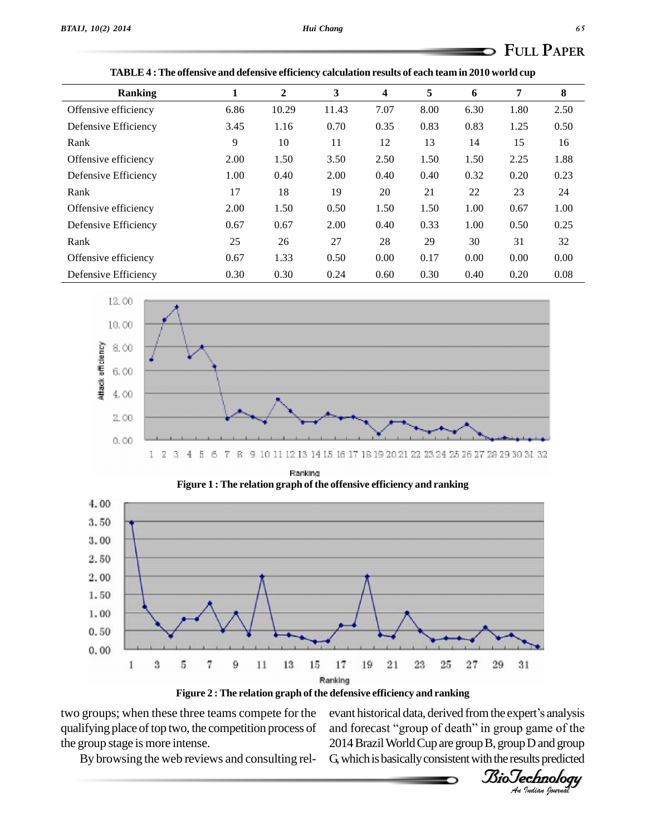| <b>Ranking</b>       | 1    | $\mathbf{2}$ | 3     | 4    | 5    | 6    | 7    | 8    |
|----------------------|------|--------------|-------|------|------|------|------|------|
| Offensive efficiency | 6.86 | 10.29        | 11.43 | 7.07 | 8.00 | 6.30 | 1.80 | 2.50 |
| Defensive Efficiency | 3.45 | 1.16         | 0.70  | 0.35 | 0.83 | 0.83 | 1.25 | 0.50 |
| Rank                 | 9    | 10           | 11    | 12   | 13   | 14   | 15   | 16   |
| Offensive efficiency | 2.00 | 1.50         | 3.50  | 2.50 | 1.50 | 1.50 | 2.25 | 1.88 |
| Defensive Efficiency | 1.00 | 0.40         | 2.00  | 0.40 | 0.40 | 0.32 | 0.20 | 0.23 |
| Rank                 | 17   | 18           | 19    | 20   | 21   | 22   | 23   | 24   |
| Offensive efficiency | 2.00 | 1.50         | 0.50  | 1.50 | 1.50 | 1.00 | 0.67 | 1.00 |
| Defensive Efficiency | 0.67 | 0.67         | 2.00  | 0.40 | 0.33 | 1.00 | 0.50 | 0.25 |
| Rank                 | 25   | 26           | 27    | 28   | 29   | 30   | 31   | 32   |
| Offensive efficiency | 0.67 | 1.33         | 0.50  | 0.00 | 0.17 | 0.00 | 0.00 | 0.00 |
| Defensive Efficiency | 0.30 | 0.30         | 0.24  | 0.60 | 0.30 | 0.40 | 0.20 | 0.08 |

|  | TABLE 4 : The offensive and defensive efficiency calculation results of each team in 2010 world cup |  |
|--|-----------------------------------------------------------------------------------------------------|--|
|--|-----------------------------------------------------------------------------------------------------|--|



Ranking **Figure 1 : The relation graph of the offensive efficiency and ranking**



**Figure 2 : The relation graph of the defensive efficiency and ranking**

two groups; when these three teams compete for the qualifying place of top two, the competition process of the group stage is more intense.

and forecast "group of death" in group game of the 2014 Brazil World Cup are group B, group D and group G, which is basically consistent with the results predicted

By browsing the web reviews and consulting rel-

*Indian Journal*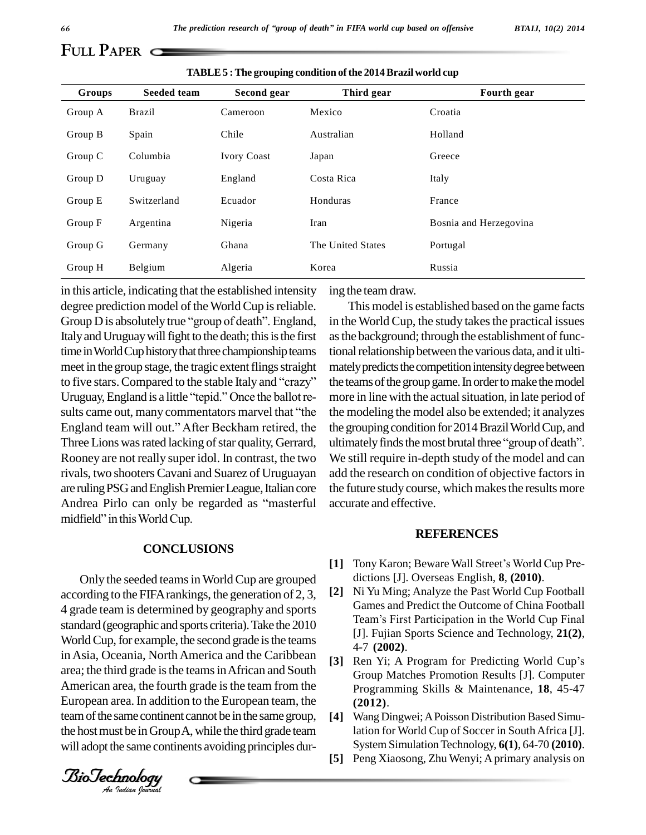## **FULL PAPER**

| Groups  | Seeded team   | Second gear        | Third gear        | <b>Fourth gear</b>     |
|---------|---------------|--------------------|-------------------|------------------------|
| Group A | <b>Brazil</b> | Cameroon           | Mexico            | Croatia                |
| Group B | Spain         | Chile              | Australian        | Holland                |
| Group C | Columbia      | <b>Ivory Coast</b> | Japan             | Greece                 |
| Group D | Uruguay       | England            | Costa Rica        | Italy                  |
| Group E | Switzerland   | Ecuador            | Honduras          | France                 |
| Group F | Argentina     | Nigeria            | Iran              | Bosnia and Herzegovina |
| Group G | Germany       | Ghana              | The United States | Portugal               |
| Group H | Belgium       | Algeria            | Korea             | Russia                 |

**TABLE5 :The grouping condition ofthe 2014Brazil world cup**

in this article, indicating that the established intensity degree prediction model of the World Cup is reliable. Group  $D$  is absolutely true "group of death". England, Italy and Uruguay will fight to the death; this is the first time in World Cup history that three championship teams meet in the group stage, the tragic extent flings straight time in World Cup history that three championship teams tional<br>meet in the group stage, the tragic extent flings straight mately<br>to five stars. Compared to the stable Italy and "crazy" the tea meet in the group stage, the tragic extent flings straight mat<br>to five stars. Compared to the stable Italy and "crazy" the t<br>Uruguay, England is a little "tepid." Once the ballot reto five stars. Compared to the stable Italy and "crazy" the tea<br>Uruguay, England is a little "tepid." Once the ballot remore<br>sults came out, many commentators marvel that "the the m Uruguay, England is a little "tepid." Once the ballot results came out, many commentators marvel that "the England team will out." After Beckham retired, the Three Lions was rated lacking of star quality, Gerrard, ultimately finds the most brutal three "group of death". Rooney are not really super idol. In contrast, the two rivals, two shooters Cavani and Suarez of Uruguayan are ruling PSG and English Premier League, Italian core the fu rivals, two shooters Cavani and Suarez of Uruguayan ad<br>are ruling PSG and English Premier League, Italian core the<br>Andrea Pirlo can only be regarded as "masterful acc are ruling PSG and English Premic<br>Andrea Pirlo can only be rega<br>midfield" in this World Cup.

#### **CONCLUSIONS**

in Asia, Oceania, North America and the Caribbean [3]  $R_0$ <br>area: the third grade is the teams in African and South [3] European area. In addition to the European team, the Only the seeded teamsinWorldCup are grouped according to the FIFA rankings, the generation of 2, 3,  $[2]$ 4 grade team is determined by geography and sports<br>
Team's First Participation in the World Cup Final<br>
Team's First Participation in the World Cup Final standard (geographic and sports criteria). Take the 2010 World Cup, for example, the second grade is the teams area; the third grade is the teams in African and South American area, the fourth grade is the team from the team of the same continent cannot be in the same group, the hostmust be inGroupA,while the third grade team will adopt the same continents avoiding principles dur-

ing the team draw.

This model is established based on the game facts in the World Cup, the study takes the practical issues as the background; through the establishment of functional relationship between the various data, and it ultimately predicts the competition intensity degree between the teams of the group game. In order to make the model more in line with the actual situation, in late period of the modeling the model also be extended; it analyzes the grouping condition for 2014 Brazil World Cup, and the modeling the model also be extended; it analyzes<br>the grouping condition for 2014 Brazil World Cup, and<br>ultimately finds the most brutal three "group of death". We still require in-depth study of the model and can add the research on condition of objective factors in the future study course, which makes the results more accurate and effective.

#### **REFERENCES**

- [1] Tony Karon; Beware Wall Street's World Cup Predictions [J]. Overseas English, **8**, **(2010)**.
- **[2]** Ni Yu Ming; Analyze the Past World Cup Football Teamís First Participation in the World Cup Final Games and Predict the Outcome of China Football [J]. Fujian Sports Science and Technology, **21(2)**, 4-7 **(2002)**.
- [3] Ren Yi; A Program for Predicting World Cup's Group Matches Promotion Results [J]. Computer Programming Skills & Maintenance, **18**, 45-47 **(2012)**.
- **[4]** WangDingwei;APoisson Distribution Based Simulation for World Cup of Soccer in SouthAfrica [J]. System SimulationTechnology, **6(1)**, 64-70 **(2010)**.
- **[5]** Peng Xiaosong, Zhu Wenyi; Aprimary analysis on

*BTAIJ, 10(2) 2014*

*Indian Journal*